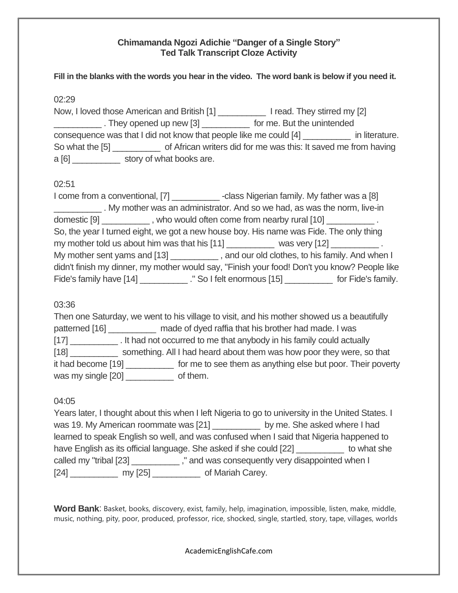## **Chimamanda Ngozi Adichie "Danger of a Single Story" Ted Talk Transcript Cloze Activity**

**Fill in the blanks with the words you hear in the video. The word bank is below if you need it.**

02:29

Now, I loved those American and British [1] \_\_\_\_\_\_\_\_\_\_ I read. They stirred my [2] They opened up new [3] \_\_\_\_\_\_\_\_\_\_\_\_ for me. But the unintended consequence was that I did not know that people like me could [4] \_\_\_\_\_\_\_\_\_\_ in literature. So what the [5] \_\_\_\_\_\_\_\_\_\_ of African writers did for me was this: It saved me from having a [6]  $\blacksquare$  story of what books are.

# 02:51

I come from a conventional, [7] \_\_\_\_\_\_\_\_\_\_\_\_\_\_-class Nigerian family. My father was a [8] \_\_\_\_\_\_\_\_\_\_ . My mother was an administrator. And so we had, as was the norm, live-in domestic [9]  $\blacksquare$ , who would often come from nearby rural [10]  $\blacksquare$ So, the year I turned eight, we got a new house boy. His name was Fide. The only thing my mother told us about him was that his [11] was very [12] My mother sent yams and [13] \_\_\_\_\_\_\_\_\_\_\_\_, and our old clothes, to his family. And when I didn't finish my dinner, my mother would say, "Finish your food! Don't you know? People like Fide's family have [14] \_\_\_\_\_\_\_\_\_\_\_\_." So I felt enormous [15] \_\_\_\_\_\_\_\_\_\_\_\_\_ for Fide's family.

## 03:36

Then one Saturday, we went to his village to visit, and his mother showed us a beautifully patterned [16] made of dyed raffia that his brother had made. I was [17] [17] **It had not occurred to me that anybody in his family could actually** [18] \_\_\_\_\_\_\_\_\_\_ something. All I had heard about them was how poor they were, so that it had become [19] \_\_\_\_\_\_\_\_\_\_ for me to see them as anything else but poor. Their poverty was my single [20] of them.

## 04:05

Years later, I thought about this when I left Nigeria to go to university in the United States. I was 19. My American roommate was [21] by me. She asked where I had learned to speak English so well, and was confused when I said that Nigeria happened to have English as its official language. She asked if she could [22] \_\_\_\_\_\_\_\_\_\_\_ to what she called my "tribal [23] \_\_\_\_\_\_\_\_\_\_\_\_\_," and was consequently very disappointed when I [24] \_\_\_\_\_\_\_\_\_\_\_\_\_ my [25] \_\_\_\_\_\_\_\_\_\_\_\_ of Mariah Carey.

**Word Bank**: Basket, books, discovery, exist, family, help, imagination, impossible, listen, make, middle, music, nothing, pity, poor, produced, professor, rice, shocked, single, startled, story, tape, villages, worlds

AcademicEnglishCafe.com